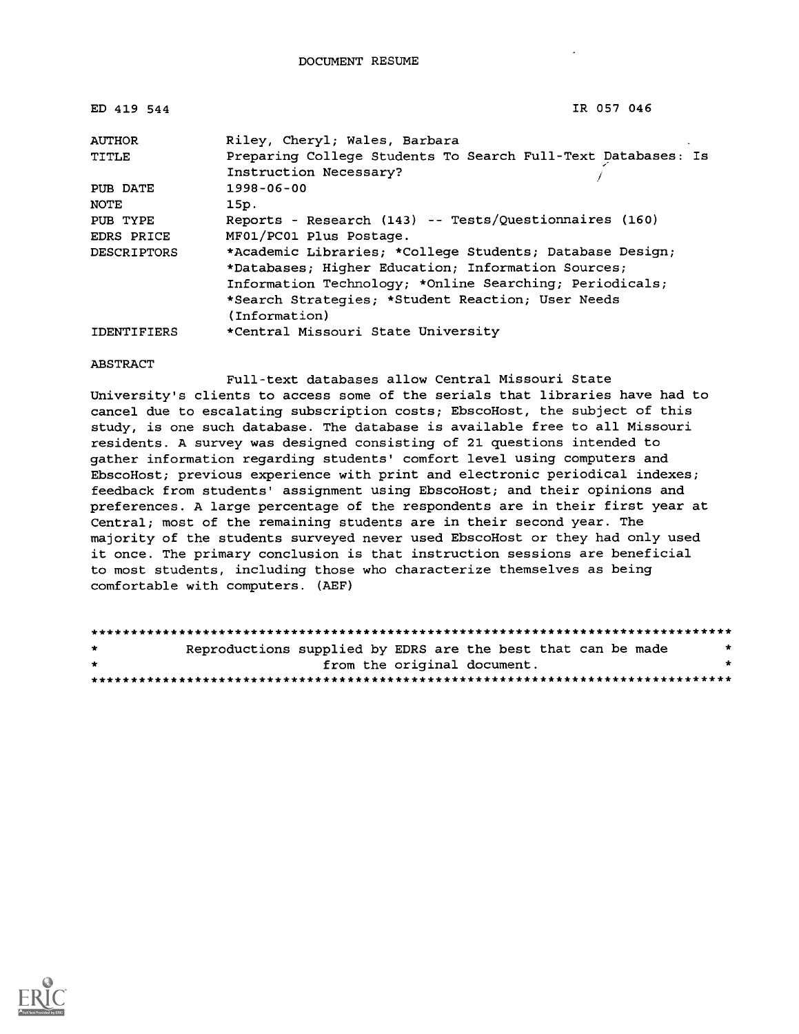| ED 419 544         | IR 057 046                                                                                                                                                                                                                                      |
|--------------------|-------------------------------------------------------------------------------------------------------------------------------------------------------------------------------------------------------------------------------------------------|
| <b>AUTHOR</b>      | Riley, Cheryl; Wales, Barbara                                                                                                                                                                                                                   |
| TITLE              | Preparing College Students To Search Full-Text Databases: Is<br>Instruction Necessary?                                                                                                                                                          |
| PUB DATE           | 1998-06-00                                                                                                                                                                                                                                      |
| NOTE               | 15p.                                                                                                                                                                                                                                            |
| PUB TYPE           | Reports - Research (143) -- Tests/Questionnaires (160)                                                                                                                                                                                          |
| EDRS PRICE         | MF01/PC01 Plus Postage.                                                                                                                                                                                                                         |
| <b>DESCRIPTORS</b> | *Academic Libraries; *College Students; Database Design;<br>*Databases; Higher Education; Information Sources;<br>Information Technology; *Online Searching; Periodicals;<br>*Search Strategies; *Student Reaction; User Needs<br>(Information) |
| <b>IDENTIFIERS</b> | *Central Missouri State University                                                                                                                                                                                                              |

#### ABSTRACT

Full-text databases allow Central Missouri State University's clients to access some of the serials that libraries have had to cancel due to escalating subscription costs; EbscoHost, the subject of this study, is one such database. The database is available free to all Missouri residents. A survey was designed consisting of 21 questions intended to gather information regarding students' comfort level using computers and EbscoHost; previous experience with print and electronic periodical indexes; feedback from students' assignment using EbscoHost; and their opinions and preferences. A large percentage of the respondents are in their first year at Central; most of the remaining students are in their second year. The majority of the students surveyed never used EbscoHost or they had only used it once. The primary conclusion is that instruction sessions are beneficial to most students, including those who characterize themselves as being comfortable with computers. (AEF)

| $\star$ | Reproductions supplied by EDRS are the best that can be made | $\star$ |
|---------|--------------------------------------------------------------|---------|
| $\star$ | from the original document.                                  |         |
|         |                                                              |         |

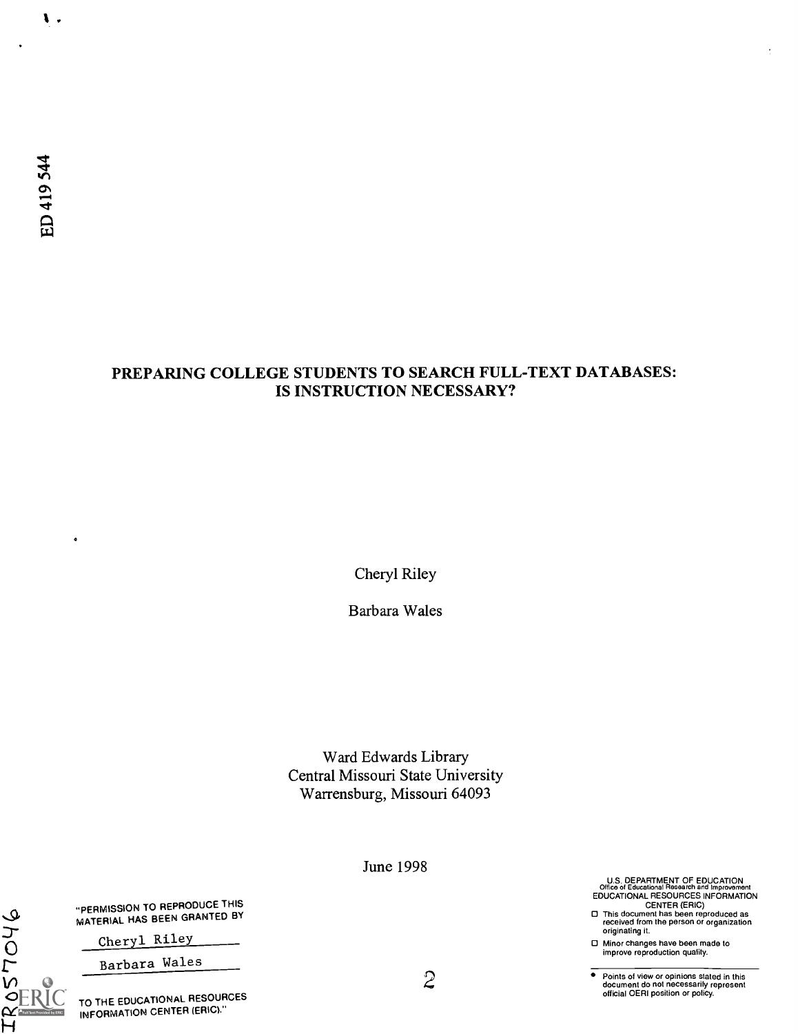$\bullet$ 

TROSTOY6<br>FROSTOV

 $\mathbf{L}$ .

## PREPARING COLLEGE STUDENTS TO SEARCH FULL-TEXT DATABASES: IS INSTRUCTION NECESSARY?

Cheryl Riley

Barbara Wales

Ward Edwards Library Central Missouri State University Warrensburg, Missouri 64093

June 1998

U.S. DEPARTMENT OF EDUCATION<br>Office of Educational Research and Improvement<br>EDUCATIONAL RESOURCES INFORMATION<br>CENTER (ERIC)<br>This document has been reproduced as<br>received from the person or organization

originating it.

Minor changes have been made to improve reproduction quality.

 $\overline{\bullet}$ Points of view or opinions stated in this document do not necessarily represent official OERI position or policy.

"PERMISSION TO REPRODUCE THIS MATERIAL HAS BEEN GRANTED BY

Cheryl Riley

Barbara Wales

TO THE EDUCATIONAL RESOURCES INFORMATION CENTER (ERIC)."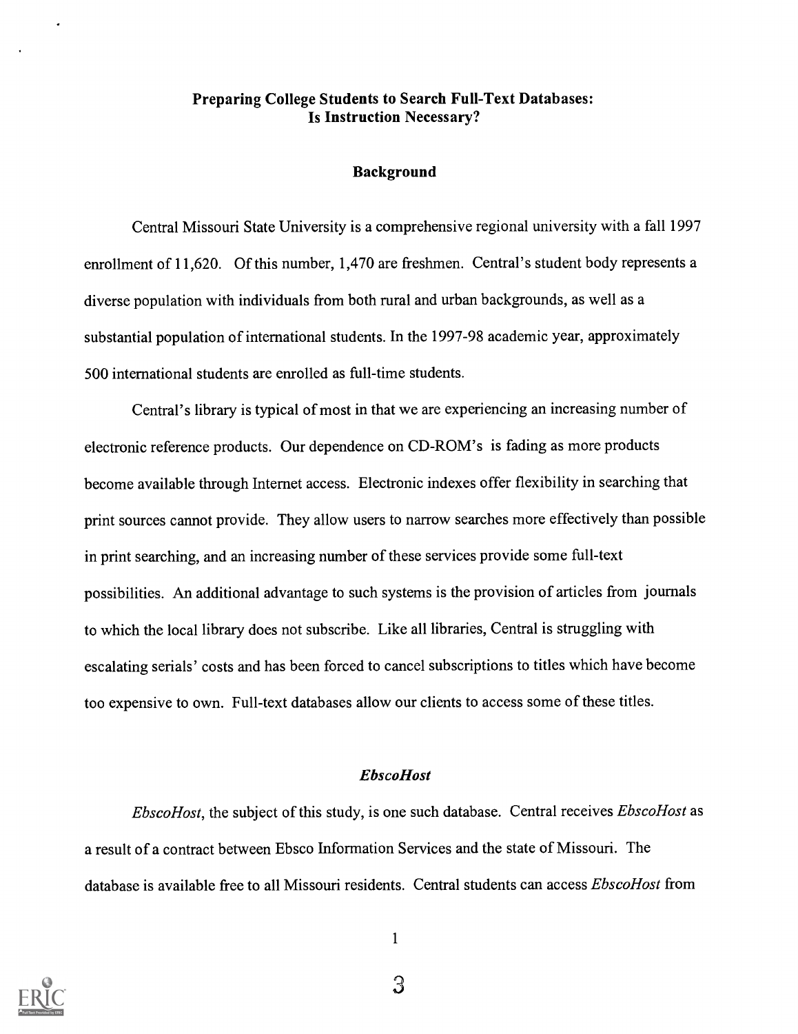## Preparing College Students to Search Full-Text Databases: Is Instruction Necessary?

#### Background

Central Missouri State University is a comprehensive regional university with a fall 1997 enrollment of 11,620. Of this number, 1,470 are freshmen. Central's student body represents a diverse population with individuals from both rural and urban backgrounds, as well as a substantial population of international students. In the 1997-98 academic year, approximately 500 international students are enrolled as full-time students.

Central's library is typical of most in that we are experiencing an increasing number of electronic reference products. Our dependence on CD-ROM's is fading as more products become available through Internet access. Electronic indexes offer flexibility in searching that print sources cannot provide. They allow users to narrow searches more effectively than possible in print searching, and an increasing number of these services provide some full-text possibilities. An additional advantage to such systems is the provision of articles from journals to which the local library does not subscribe. Like all libraries, Central is struggling with escalating serials' costs and has been forced to cancel subscriptions to titles which have become too expensive to own. Full-text databases allow our clients to access some of these titles.

#### EbscoHost

EbscoHost, the subject of this study, is one such database. Central receives EbscoHost as a result of a contract between Ebsco Information Services and the state of Missouri. The database is available free to all Missouri residents. Central students can access *EbscoHost* from

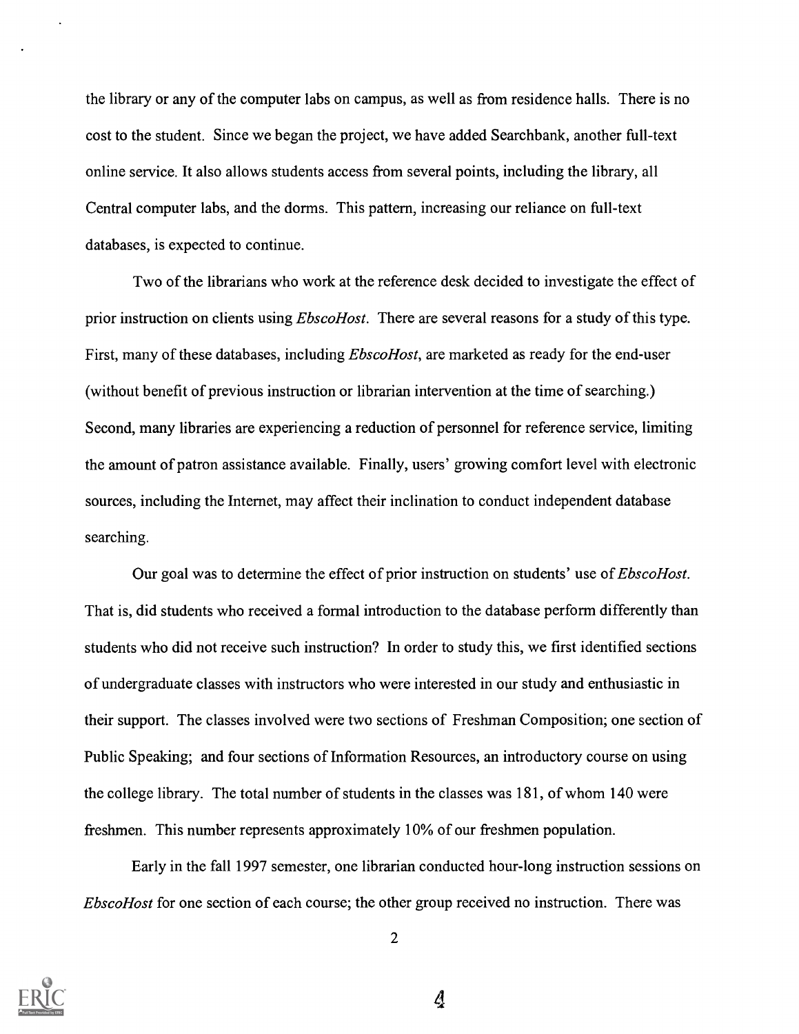the library or any of the computer labs on campus, as well as from residence halls. There is no cost to the student. Since we began the project, we have added Searchbank, another full-text online service. It also allows students access from several points, including the library, all Central computer labs, and the dorms. This pattern, increasing our reliance on full-text databases, is expected to continue.

Two of the librarians who work at the reference desk decided to investigate the effect of prior instruction on clients using *EbscoHost*. There are several reasons for a study of this type. First, many of these databases, including *EbscoHost*, are marketed as ready for the end-user (without benefit of previous instruction or librarian intervention at the time of searching.) Second, many libraries are experiencing a reduction of personnel for reference service, limiting the amount of patron assistance available. Finally, users' growing comfort level with electronic sources, including the Internet, may affect their inclination to conduct independent database searching.

Our goal was to determine the effect of prior instruction on students' use of *EbscoHost*. That is, did students who received a formal introduction to the database perform differently than students who did not receive such instruction? In order to study this, we first identified sections of undergraduate classes with instructors who were interested in our study and enthusiastic in their support. The classes involved were two sections of Freshman Composition; one section of Public Speaking; and four sections of Information Resources, an introductory course on using the college library. The total number of students in the classes was 181, of whom 140 were freshmen. This number represents approximately 10% of our freshmen population.

Early in the fall 1997 semester, one librarian conducted hour-long instruction sessions on EbscoHost for one section of each course; the other group received no instruction. There was



2

Ą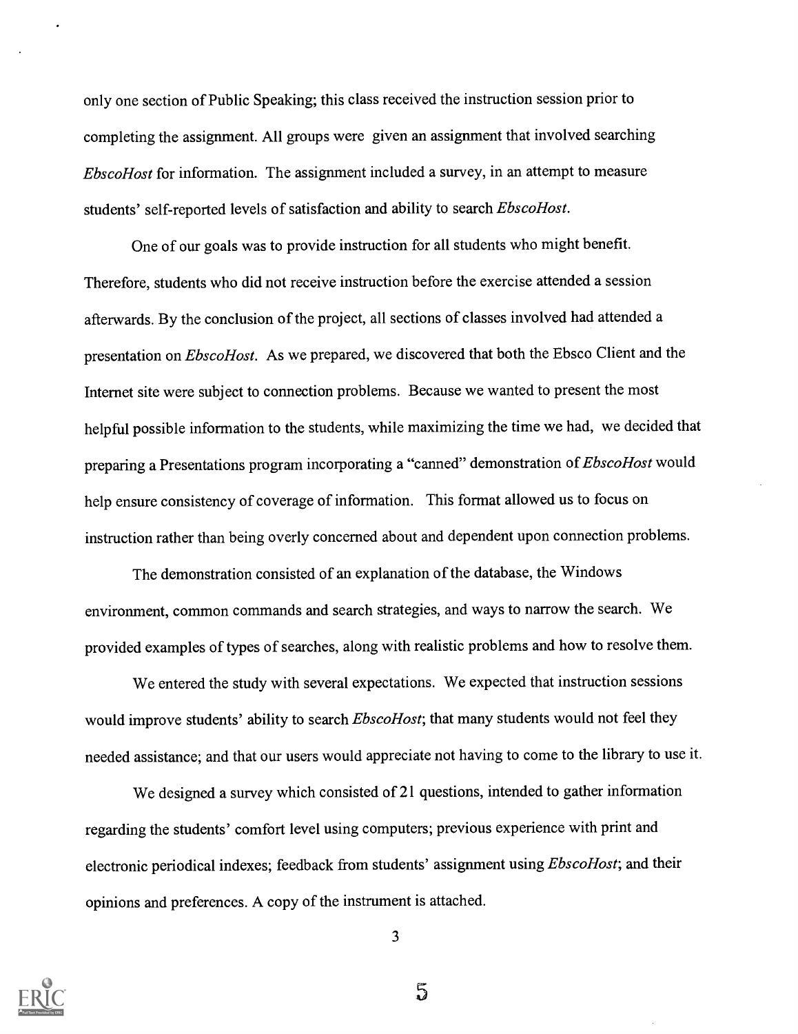only one section of Public Speaking; this class received the instruction session prior to completing the assignment. All groups were given an assignment that involved searching EbscoHost for information. The assignment included a survey, in an attempt to measure students' self-reported levels of satisfaction and ability to search EbscoHost.

One of our goals was to provide instruction for all students who might benefit. Therefore, students who did not receive instruction before the exercise attended a session afterwards. By the conclusion of the project, all sections of classes involved had attended a presentation on *EbscoHost*. As we prepared, we discovered that both the Ebsco Client and the Internet site were subject to connection problems. Because we wanted to present the most helpful possible information to the students, while maximizing the time we had, we decided that preparing a Presentations program incorporating a "canned" demonstration of *EbscoHost* would help ensure consistency of coverage of information. This format allowed us to focus on instruction rather than being overly concerned about and dependent upon connection problems.

The demonstration consisted of an explanation of the database, the Windows environment, common commands and search strategies, and ways to narrow the search. We provided examples of types of searches, along with realistic problems and how to resolve them.

We entered the study with several expectations. We expected that instruction sessions would improve students' ability to search *EbscoHost*; that many students would not feel they needed assistance; and that our users would appreciate not having to come to the library to use it.

We designed a survey which consisted of 21 questions, intended to gather information regarding the students' comfort level using computers; previous experience with print and electronic periodical indexes; feedback from students' assignment using *EbscoHost*; and their opinions and preferences. A copy of the instrument is attached.



3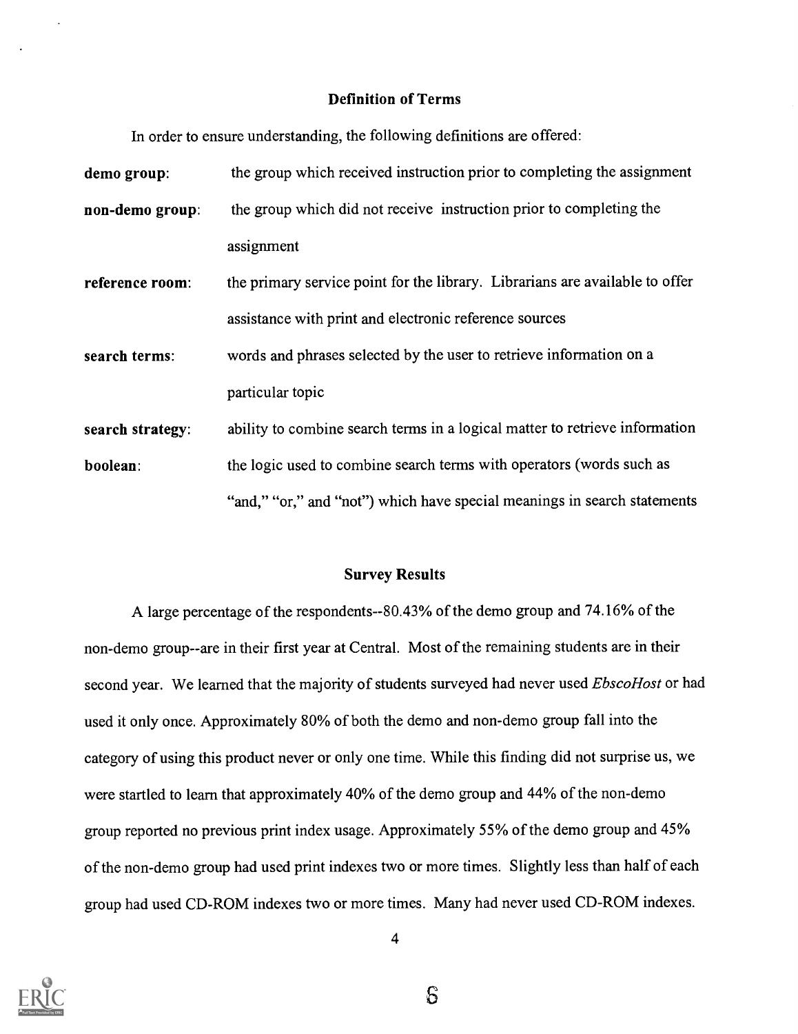#### Definition of Terms

In order to ensure understanding, the following definitions are offered:

| demo group:      | the group which received instruction prior to completing the assignment      |
|------------------|------------------------------------------------------------------------------|
| non-demo group:  | the group which did not receive instruction prior to completing the          |
|                  | assignment                                                                   |
| reference room:  | the primary service point for the library. Librarians are available to offer |
|                  | assistance with print and electronic reference sources                       |
| search terms:    | words and phrases selected by the user to retrieve information on a          |
|                  | particular topic                                                             |
| search strategy: | ability to combine search terms in a logical matter to retrieve information  |
| boolean:         | the logic used to combine search terms with operators (words such as         |
|                  | "and," "or," and "not") which have special meanings in search statements     |

#### Survey Results

A large percentage of the respondents--80.43% of the demo group and 74.16% of the non-demo group--are in their first year at Central. Most of the remaining students are in their second year. We learned that the majority of students surveyed had never used EbscoHost or had used it only once. Approximately 80% of both the demo and non-demo group fall into the category of using this product never or only one time. While this finding did not surprise us, we were startled to learn that approximately 40% of the demo group and 44% of the non-demo group reported no previous print index usage. Approximately 55% of the demo group and 45% of the non-demo group had used print indexes two or more times. Slightly less than half of each group had used CD-ROM indexes two or more times. Many had never used CD-ROM indexes.



 $\mathcal{S}$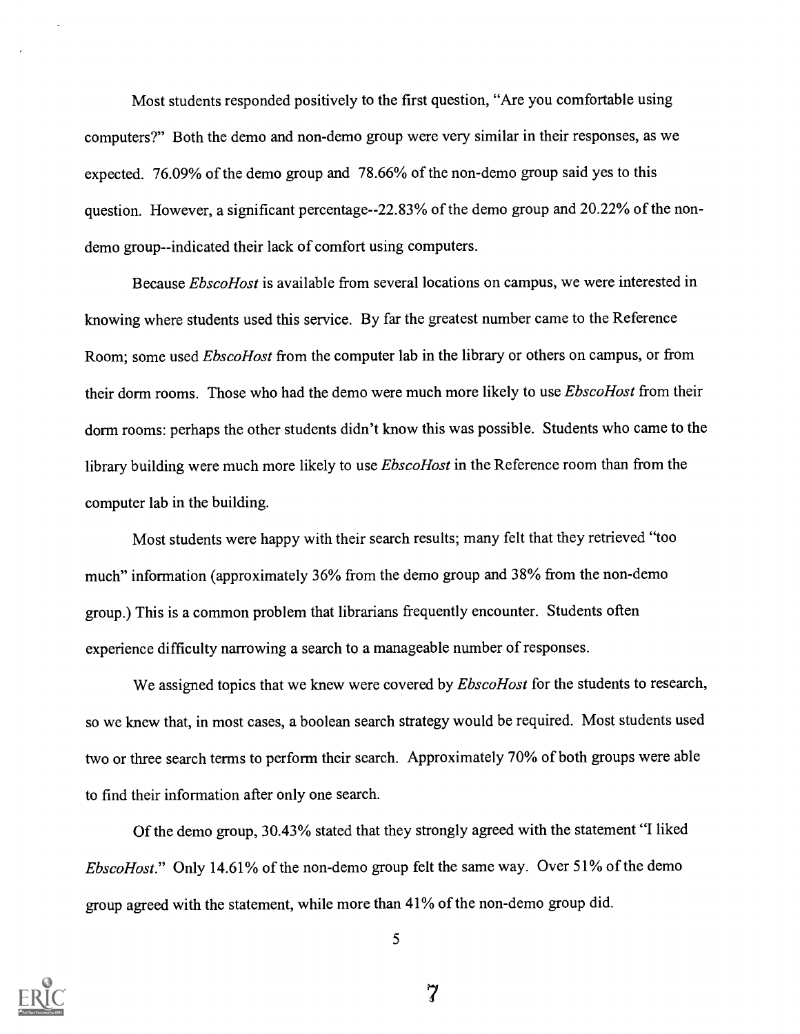Most students responded positively to the first question, "Are you comfortable using computers?" Both the demo and non-demo group were very similar in their responses, as we expected. 76.09% of the demo group and 78.66% of the non-demo group said yes to this question. However, a significant percentage--22.83% of the demo group and 20.22% of the nondemo group--indicated their lack of comfort using computers.

Because *EbscoHost* is available from several locations on campus, we were interested in knowing where students used this service. By far the greatest number came to the Reference Room; some used *EbscoHost* from the computer lab in the library or others on campus, or from their dorm rooms. Those who had the demo were much more likely to use *EbscoHost* from their dorm rooms: perhaps the other students didn't know this was possible. Students who came to the library building were much more likely to use *EbscoHost* in the Reference room than from the computer lab in the building.

Most students were happy with their search results; many felt that they retrieved "too much" information (approximately 36% from the demo group and 38% from the non-demo group.) This is a common problem that librarians frequently encounter. Students often experience difficulty narrowing a search to a manageable number of responses.

We assigned topics that we knew were covered by *EbscoHost* for the students to research, so we knew that, in most cases, a boolean search strategy would be required. Most students used two or three search terms to perform their search. Approximately 70% of both groups were able to find their information after only one search.

Of the demo group, 30.43% stated that they strongly agreed with the statement "I liked EbscoHost." Only 14.61% of the non-demo group felt the same way. Over 51% of the demo group agreed with the statement, while more than 41% of the non-demo group did.



5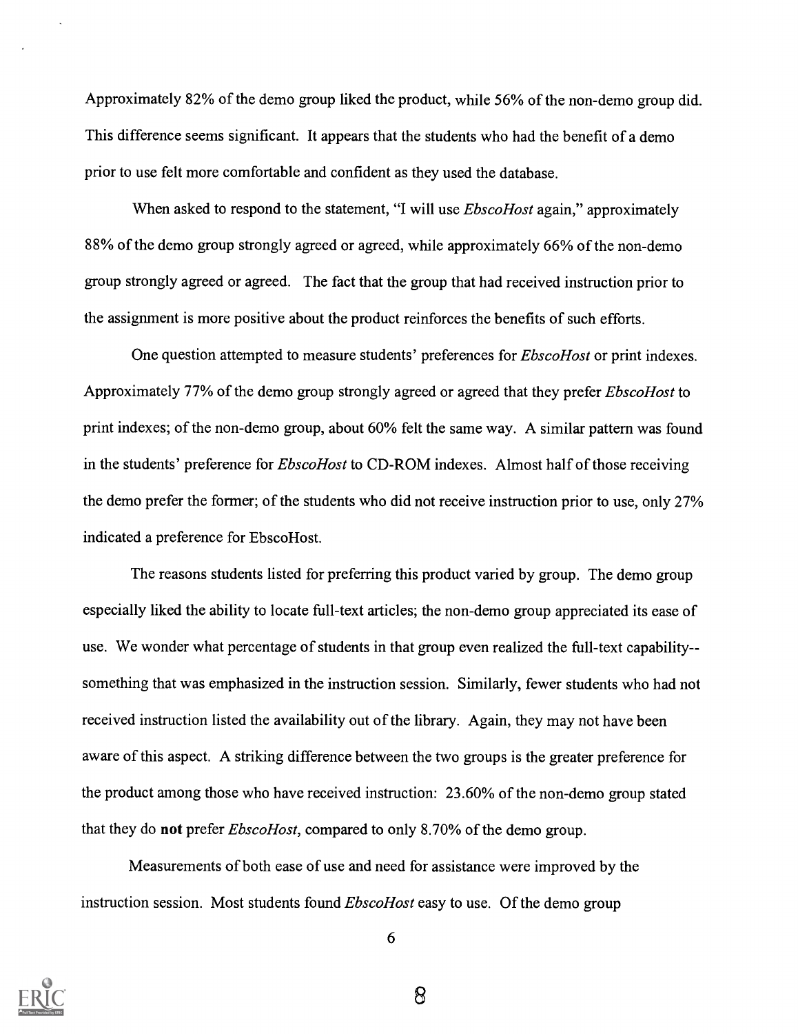Approximately 82% of the demo group liked the product, while 56% of the non-demo group did. This difference seems significant. It appears that the students who had the benefit of a demo prior to use felt more comfortable and confident as they used the database.

When asked to respond to the statement, "I will use *EbscoHost* again," approximately 88% of the demo group strongly agreed or agreed, while approximately 66% of the non-demo group strongly agreed or agreed. The fact that the group that had received instruction prior to the assignment is more positive about the product reinforces the benefits of such efforts.

One question attempted to measure students' preferences for *EbscoHost* or print indexes. Approximately 77% of the demo group strongly agreed or agreed that they prefer EbscoHost to print indexes; of the non-demo group, about 60% felt the same way. A similar pattern was found in the students' preference for *EbscoHost* to CD-ROM indexes. Almost half of those receiving the demo prefer the former; of the students who did not receive instruction prior to use, only 27% indicated a preference for EbscoHost.

The reasons students listed for preferring this product varied by group. The demo group especially liked the ability to locate full-text articles; the non-demo group appreciated its ease of use. We wonder what percentage of students in that group even realized the full-text capability-something that was emphasized in the instruction session. Similarly, fewer students who had not received instruction listed the availability out of the library. Again, they may not have been aware of this aspect. A striking difference between the two groups is the greater preference for the product among those who have received instruction: 23.60% of the non-demo group stated that they do not prefer *EbscoHost*, compared to only 8.70% of the demo group.

Measurements of both ease of use and need for assistance were improved by the instruction session. Most students found *EbscoHost* easy to use. Of the demo group



6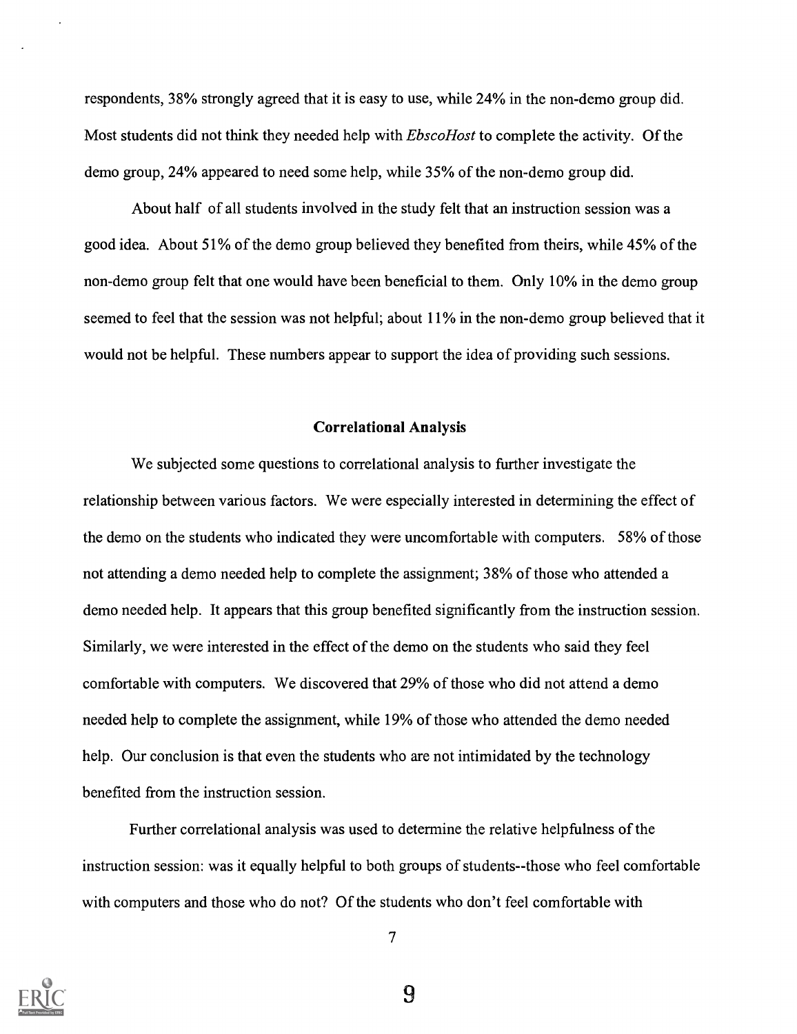respondents, 38% strongly agreed that it is easy to use, while 24% in the non-demo group did. Most students did not think they needed help with *EbscoHost* to complete the activity. Of the demo group, 24% appeared to need some help, while 35% of the non-demo group did.

About half of all students involved in the study felt that an instruction session was a good idea. About 51% of the demo group believed they benefited from theirs, while 45% of the non-demo group felt that one would have been beneficial to them. Only 10% in the demo group seemed to feel that the session was not helpful; about 11% in the non-demo group believed that it would not be helpful. These numbers appear to support the idea of providing such sessions.

#### Correlational Analysis

We subjected some questions to correlational analysis to further investigate the relationship between various factors. We were especially interested in determining the effect of the demo on the students who indicated they were uncomfortable with computers. 58% of those not attending a demo needed help to complete the assignment; 38% of those who attended a demo needed help. It appears that this group benefited significantly from the instruction session. Similarly, we were interested in the effect of the demo on the students who said they feel comfortable with computers. We discovered that 29% of those who did not attend a demo needed help to complete the assignment, while 19% of those who attended the demo needed help. Our conclusion is that even the students who are not intimidated by the technology benefited from the instruction session.

Further correlational analysis was used to determine the relative helpfulness of the instruction session: was it equally helpful to both groups of students--those who feel comfortable with computers and those who do not? Of the students who don't feel comfortable with



7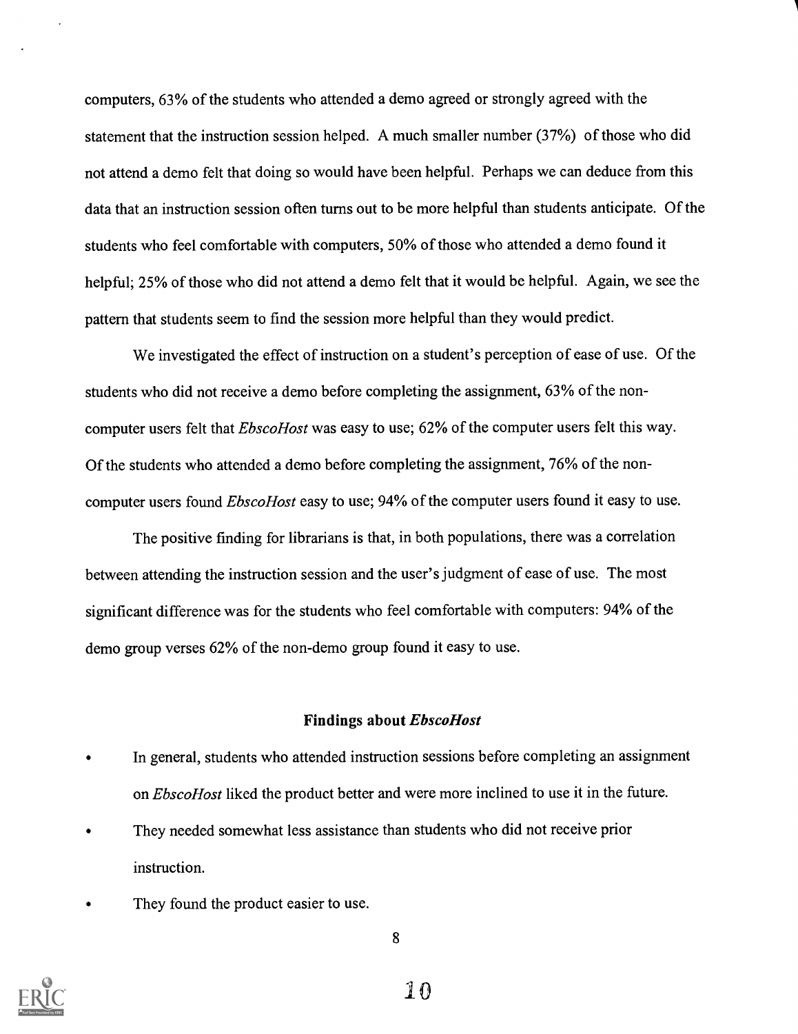computers, 63% of the students who attended a demo agreed or strongly agreed with the statement that the instruction session helped. A much smaller number (37%) of those who did not attend a demo felt that doing so would have been helpful. Perhaps we can deduce from this data that an instruction session often turns out to be more helpful than students anticipate. Of the students who feel comfortable with computers, 50% of those who attended a demo found it helpful; 25% of those who did not attend a demo felt that it would be helpful. Again, we see the pattern that students seem to find the session more helpful than they would predict.

We investigated the effect of instruction on a student's perception of ease of use. Of the students who did not receive a demo before completing the assignment, 63% of the noncomputer users felt that *EbscoHost* was easy to use; 62% of the computer users felt this way. Of the students who attended a demo before completing the assignment, 76% of the noncomputer users found *EbscoHost* easy to use; 94% of the computer users found it easy to use.

The positive finding for librarians is that, in both populations, there was a correlation between attending the instruction session and the user's judgment of ease of use. The most significant difference was for the students who feel comfortable with computers: 94% of the demo group verses 62% of the non-demo group found it easy to use.

#### Findings about EbscoHost

- In general, students who attended instruction sessions before completing an assignment on *EbscoHost* liked the product better and were more inclined to use it in the future.
- They needed somewhat less assistance than students who did not receive prior instruction.
- They found the product easier to use.



8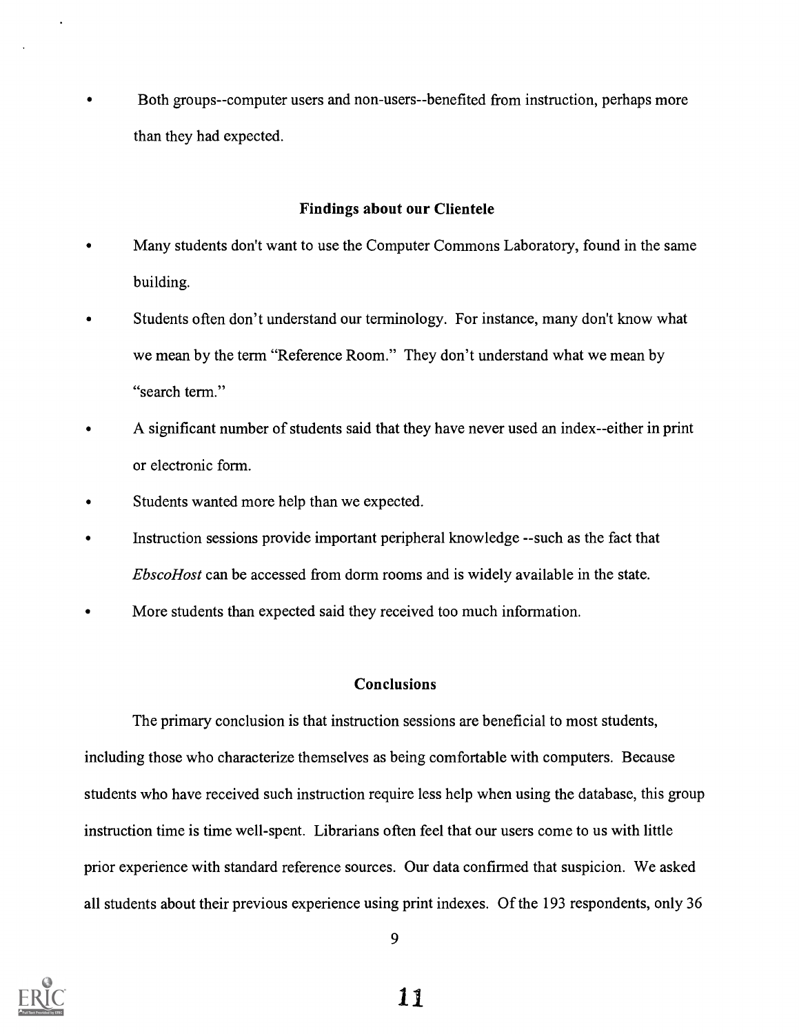Both groups--computer users and non-users--benefited from instruction, perhaps more than they had expected.

#### Findings about our Clientele

- Many students don't want to use the Computer Commons Laboratory, found in the same building.
- Students often don't understand our terminology. For instance, many don't know what we mean by the term "Reference Room." They don't understand what we mean by "search term."
- A significant number of students said that they have never used an index--either in print or electronic form.
- Students wanted more help than we expected.
- Instruction sessions provide important peripheral knowledge --such as the fact that EbscoHost can be accessed from dorm rooms and is widely available in the state.
- More students than expected said they received too much information.

#### Conclusions

The primary conclusion is that instruction sessions are beneficial to most students, including those who characterize themselves as being comfortable with computers. Because students who have received such instruction require less help when using the database, this group instruction time is time well-spent. Librarians often feel that our users come to us with little prior experience with standard reference sources. Our data confirmed that suspicion. We asked all students about their previous experience using print indexes. Of the 193 respondents, only 36

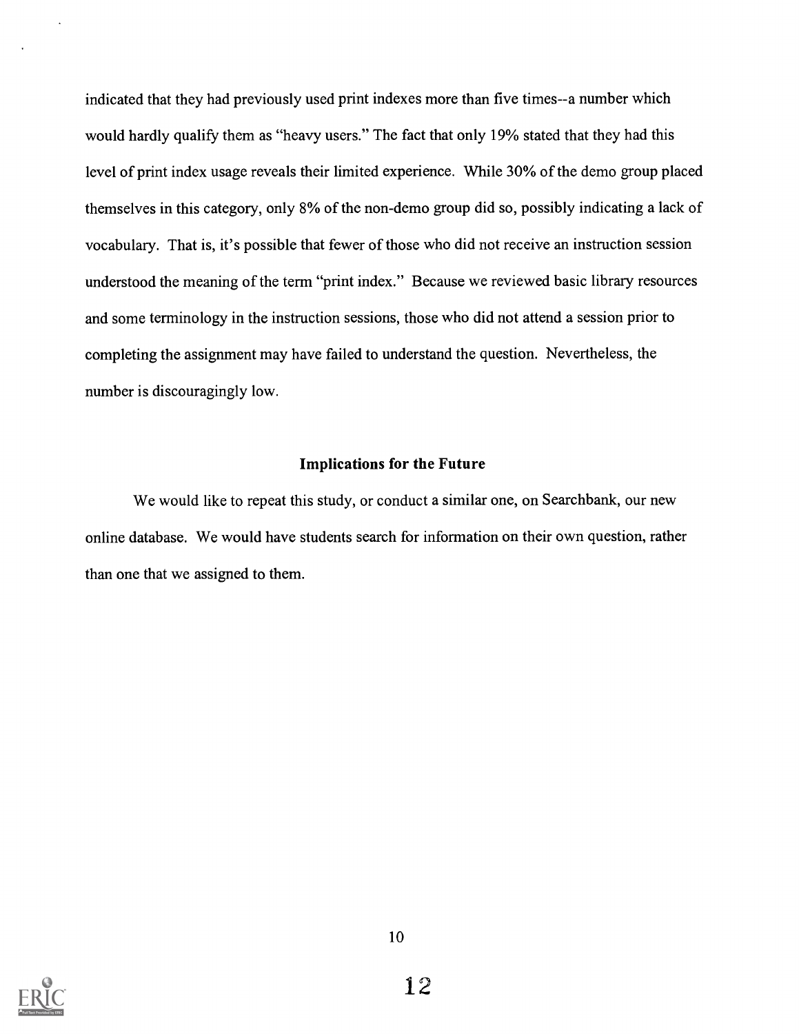indicated that they had previously used print indexes more than five times--a number which would hardly qualify them as "heavy users." The fact that only 19% stated that they had this level of print index usage reveals their limited experience. While 30% of the demo group placed themselves in this category, only 8% of the non-demo group did so, possibly indicating a lack of vocabulary. That is, it's possible that fewer of those who did not receive an instruction session understood the meaning of the term "print index." Because we reviewed basic library resources and some terminology in the instruction sessions, those who did not attend a session prior to completing the assignment may have failed to understand the question. Nevertheless, the number is discouragingly low.

### Implications for the Future

We would like to repeat this study, or conduct a similar one, on Searchbank, our new online database. We would have students search for information on their own question, rather than one that we assigned to them.

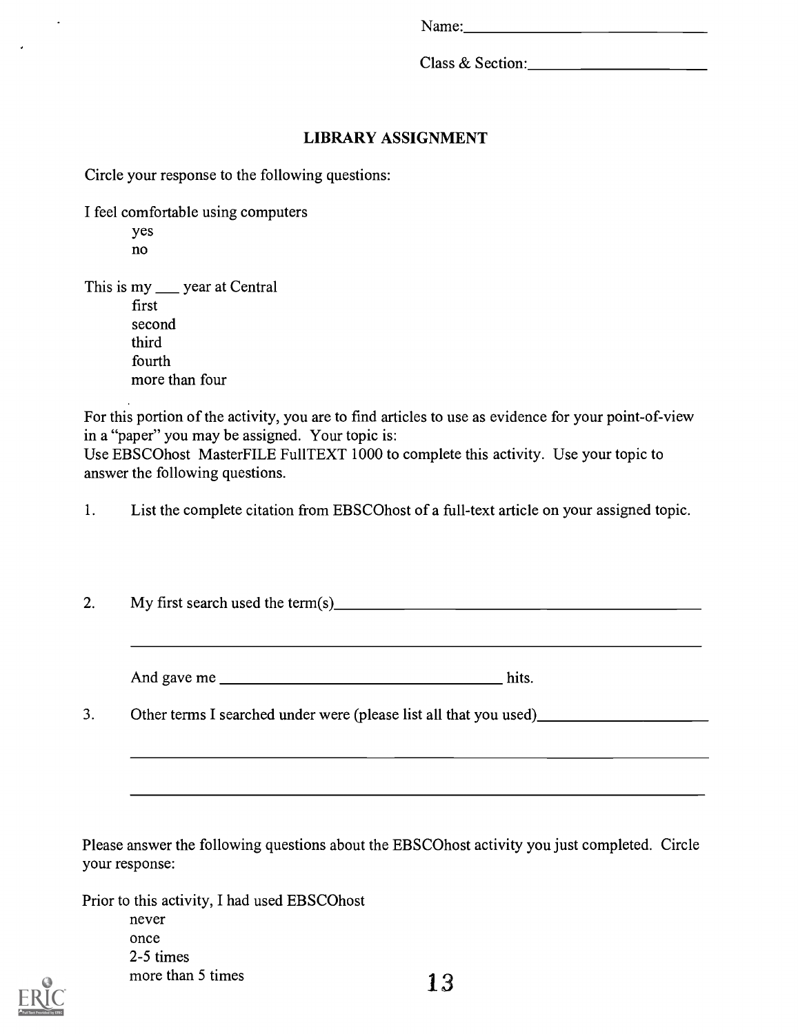Class & Section:

## LIBRARY ASSIGNMENT

Circle your response to the following questions:

I feel comfortable using computers

yes no

This is my year at Central first second third fourth more than four

For this portion of the activity, you are to find articles to use as evidence for your point-of-view in a "paper" you may be assigned. Your topic is:

Use EBSCOhost MasterFILE Fu11TEXT 1000 to complete this activity. Use your topic to answer the following questions.

1. List the complete citation from EBSCOhost of a full-text article on your assigned topic.

2. My first search used the term(s)  $\frac{1}{2}$   $\frac{1}{2}$   $\frac{1}{2}$   $\frac{1}{2}$   $\frac{1}{2}$   $\frac{1}{2}$   $\frac{1}{2}$   $\frac{1}{2}$   $\frac{1}{2}$   $\frac{1}{2}$   $\frac{1}{2}$   $\frac{1}{2}$   $\frac{1}{2}$   $\frac{1}{2}$   $\frac{1}{2}$   $\frac{1}{2}$   $\frac{1}{2}$   $\frac{1}{2}$   $\frac{1$ 

And gave me hits.

3. Other terms I searched under were (please list all that you used) <u>contained</u>

Please answer the following questions about the EBSCOhost activity you just completed. Circle your response:

Prior to this activity, I had used EBSCOhost never once 2-5 times more than 5 times  $13$ 

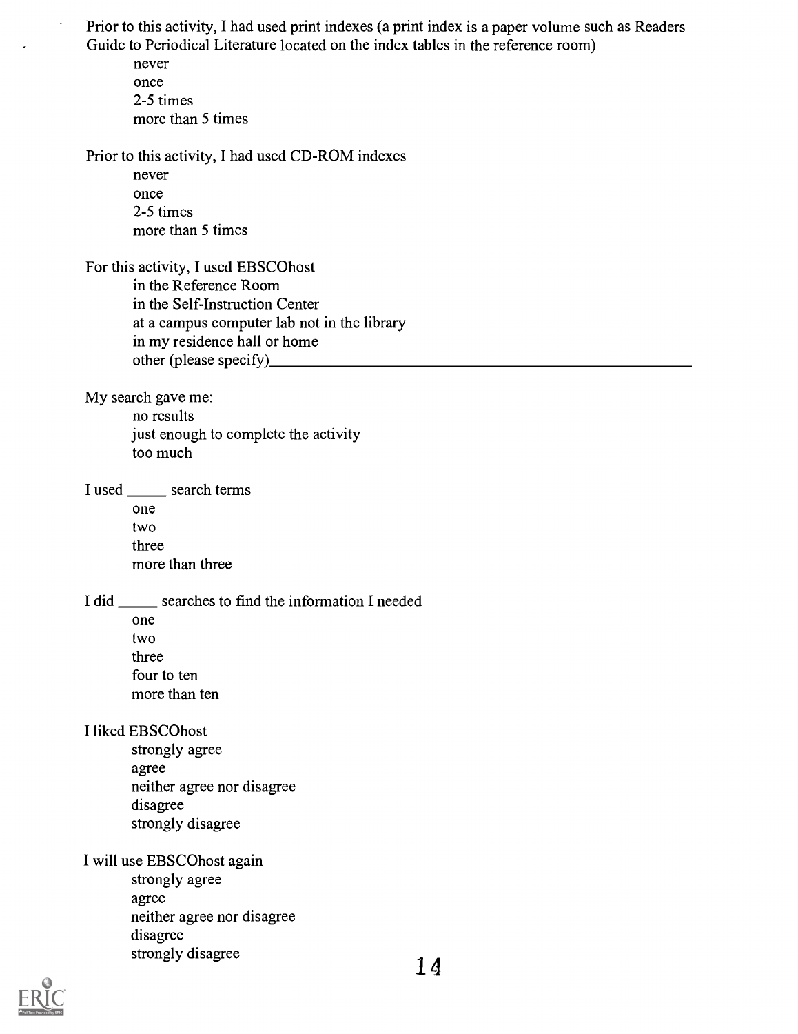Prior to this activity, I had used print indexes (a print index is a paper volume such as Readers Guide to Periodical Literature located on the index tables in the reference room)

never once 2-5 times more than 5 times

.

Prior to this activity, I had used CD-ROM indexes

never once 2-5 times more than 5 times

For this activity, I used EBSCOhost in the Reference Room in the Self-Instruction Center at a campus computer lab not in the library in my residence hall or home other (please specify)

My search gave me:

no results just enough to complete the activity too much

I used \_\_\_\_\_\_\_ search terms

one two three more than three

I did \_\_\_\_\_\_ searches to find the information I needed

one two three four to ten more than ten

I liked EBSCOhost

strongly agree agree neither agree nor disagree disagree strongly disagree

I will use EBSCOhost again

strongly agree agree neither agree nor disagree disagree strongly disagree 14

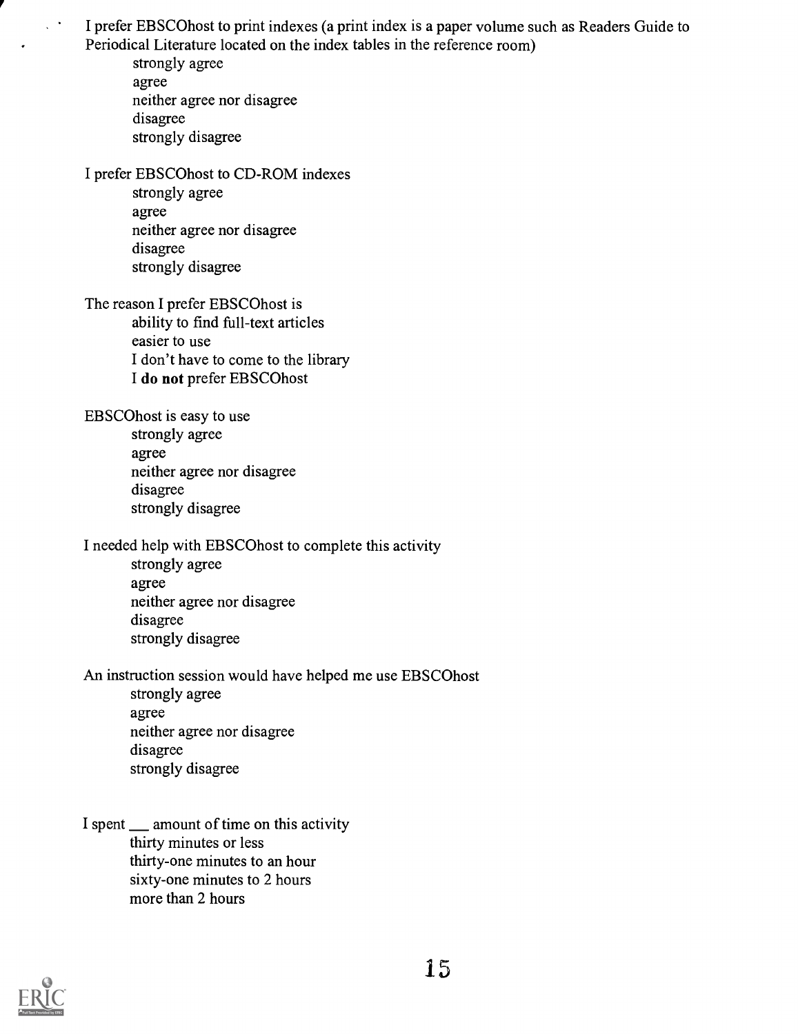I prefer EBSCOhost to print indexes (a print index is a paper volume such as Readers Guide to Periodical Literature located on the index tables in the reference room)

strongly agree agree neither agree nor disagree disagree strongly disagree

 $\chi$  .

I prefer EBSCOhost to CD-ROM indexes

strongly agree agree neither agree nor disagree disagree strongly disagree

The reason I prefer EBSCOhost is ability to find full-text articles easier to use I don't have to come to the library I do not prefer EBSCOhost

EBSCOhost is easy to use strongly agree agree neither agree nor disagree disagree strongly disagree

I needed help with EBSCOhost to complete this activity

strongly agree agree neither agree nor disagree disagree strongly disagree

An instruction session would have helped me use EBSCOhost

- strongly agree agree neither agree nor disagree disagree strongly disagree
- I spent \_\_ amount of time on this activity thirty minutes or less thirty-one minutes to an hour sixty-one minutes to 2 hours more than 2 hours